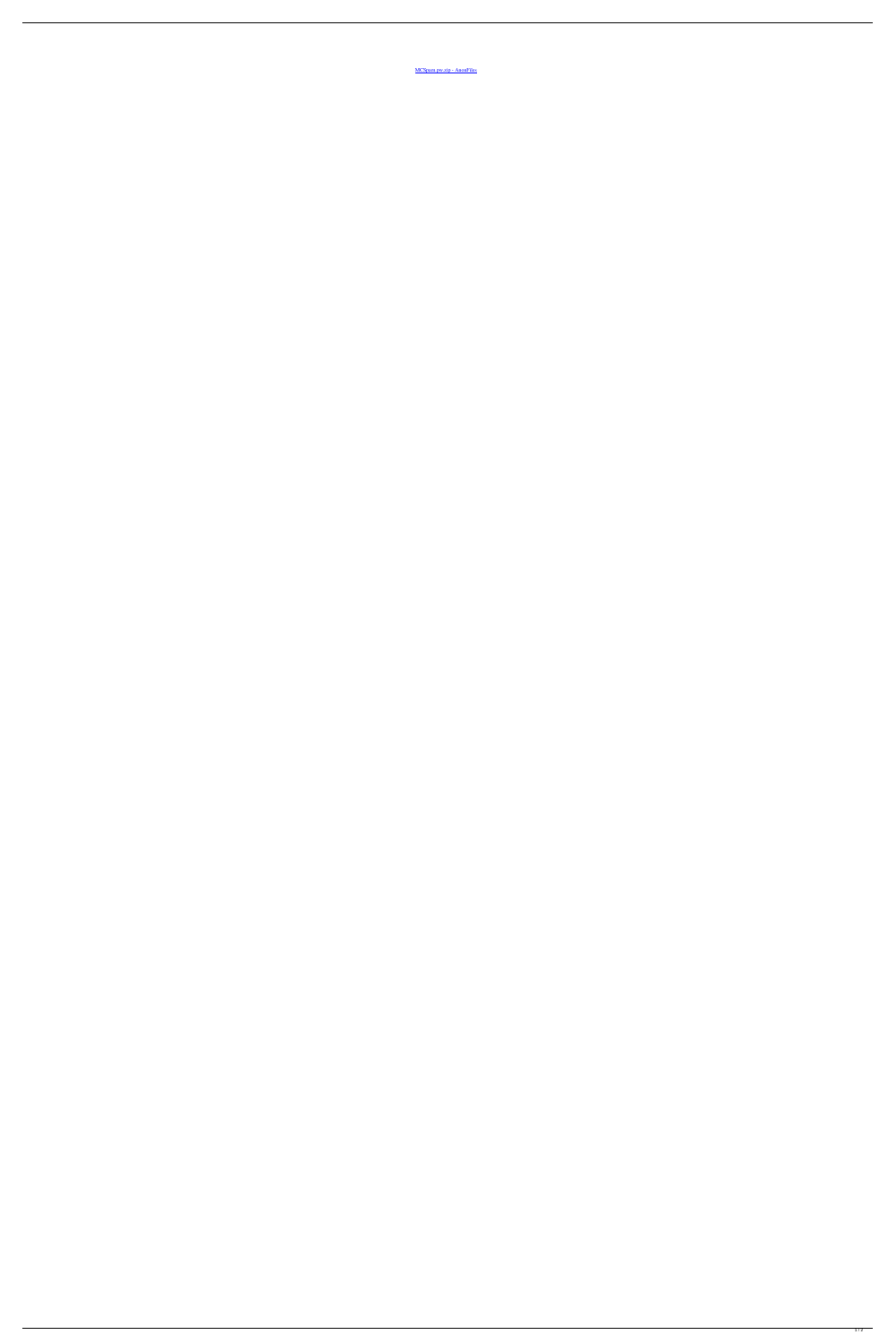[MCSpam.pw.zip - AnonFiles](https://byltly.com/26mh27)